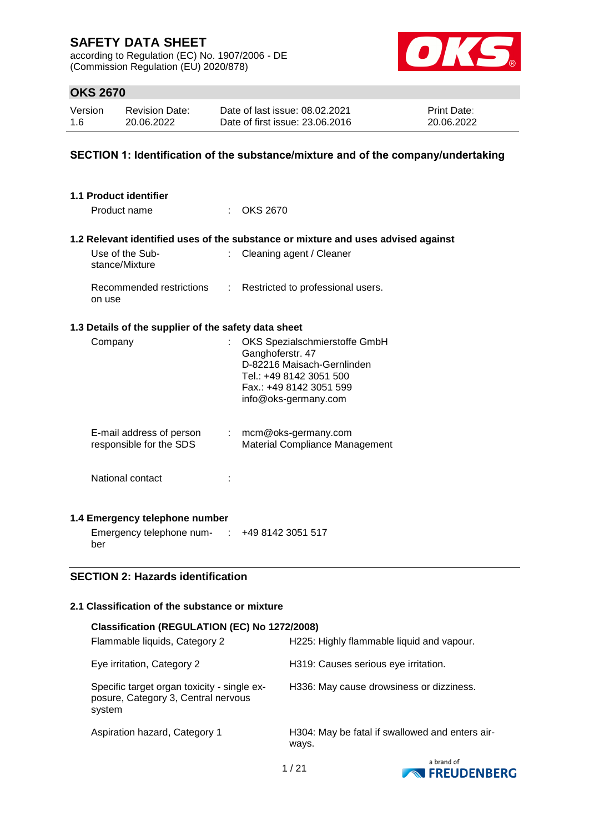according to Regulation (EC) No. 1907/2006 - DE (Commission Regulation (EU) 2020/878)



# **OKS 2670**

| Version | <b>Revision Date:</b> | Date of last issue: 08.02.2021  | <b>Print Date:</b> |
|---------|-----------------------|---------------------------------|--------------------|
| 1.6     | 20.06.2022            | Date of first issue: 23,06,2016 | 20.06.2022         |

### **SECTION 1: Identification of the substance/mixture and of the company/undertaking**

| 1.1 Product identifier                               |    |                                                                                                                                                               |
|------------------------------------------------------|----|---------------------------------------------------------------------------------------------------------------------------------------------------------------|
| Product name                                         |    | <b>OKS 2670</b>                                                                                                                                               |
|                                                      |    | 1.2 Relevant identified uses of the substance or mixture and uses advised against                                                                             |
| Use of the Sub-<br>stance/Mixture                    | ÷. | Cleaning agent / Cleaner                                                                                                                                      |
| Recommended restrictions<br>on use                   | ÷  | Restricted to professional users.                                                                                                                             |
| 1.3 Details of the supplier of the safety data sheet |    |                                                                                                                                                               |
| Company                                              |    | OKS Spezialschmierstoffe GmbH<br>Ganghoferstr. 47<br>D-82216 Maisach-Gernlinden<br>Tel.: +49 8142 3051 500<br>Fax.: +49 8142 3051 599<br>info@oks-germany.com |
| E-mail address of person<br>responsible for the SDS  |    | $:$ mcm@oks-germany.com<br>Material Compliance Management                                                                                                     |
| National contact                                     |    |                                                                                                                                                               |
| 1.4 Emergency telephone number                       |    |                                                                                                                                                               |
| Emergency telephone num- : +49 8142 3051 517<br>ber  |    |                                                                                                                                                               |
| <b>SECTION 2: Hazards identification</b>             |    |                                                                                                                                                               |

### **2.1 Classification of the substance or mixture**

### **Classification (REGULATION (EC) No 1272/2008)**

| Flammable liquids, Category 2                                                                | H225: Highly flammable liquid and vapour.                |
|----------------------------------------------------------------------------------------------|----------------------------------------------------------|
| Eye irritation, Category 2                                                                   | H319: Causes serious eye irritation.                     |
| Specific target organ toxicity - single ex-<br>posure, Category 3, Central nervous<br>system | H336: May cause drowsiness or dizziness.                 |
| Aspiration hazard, Category 1                                                                | H304: May be fatal if swallowed and enters air-<br>ways. |

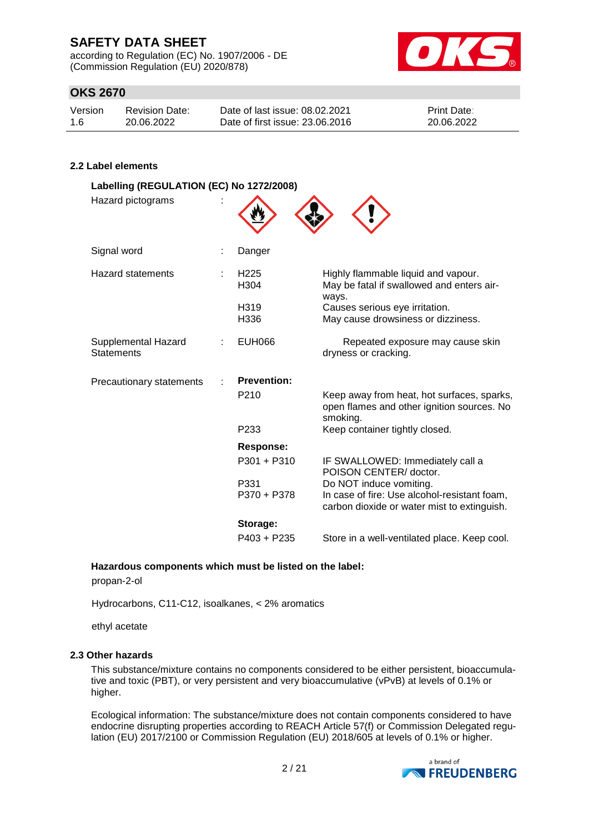according to Regulation (EC) No. 1907/2006 - DE (Commission Regulation (EU) 2020/878)



# **OKS 2670**

| Version | <b>Revision Date:</b> | Date of last issue: 08.02.2021  | <b>Print Date:</b> |
|---------|-----------------------|---------------------------------|--------------------|
| 1.6     | 20.06.2022            | Date of first issue: 23,06,2016 | 20.06.2022         |

### **2.2 Label elements**

| Labelling (REGULATION (EC) No 1272/2008)<br>Hazard pictograms |                                      |                                                                                                                        |
|---------------------------------------------------------------|--------------------------------------|------------------------------------------------------------------------------------------------------------------------|
| Signal word                                                   | Danger                               |                                                                                                                        |
| <b>Hazard statements</b>                                      | H <sub>225</sub><br>H <sub>304</sub> | Highly flammable liquid and vapour.<br>May be fatal if swallowed and enters air-<br>ways.                              |
|                                                               | H319<br>H336                         | Causes serious eye irritation.<br>May cause drowsiness or dizziness.                                                   |
| Supplemental Hazard<br><b>Statements</b>                      | <b>EUH066</b>                        | Repeated exposure may cause skin<br>dryness or cracking.                                                               |
| Precautionary statements                                      | <b>Prevention:</b>                   |                                                                                                                        |
|                                                               | P <sub>210</sub>                     | Keep away from heat, hot surfaces, sparks,<br>open flames and other ignition sources. No<br>smoking.                   |
|                                                               | P <sub>233</sub>                     | Keep container tightly closed.                                                                                         |
|                                                               | <b>Response:</b>                     |                                                                                                                        |
|                                                               | $P301 + P310$                        | IF SWALLOWED: Immediately call a<br>POISON CENTER/doctor.                                                              |
|                                                               | P331<br>P370 + P378                  | Do NOT induce vomiting.<br>In case of fire: Use alcohol-resistant foam,<br>carbon dioxide or water mist to extinguish. |
|                                                               | Storage:                             |                                                                                                                        |
|                                                               | $P403 + P235$                        | Store in a well-ventilated place. Keep cool.                                                                           |

#### **Hazardous components which must be listed on the label:**

propan-2-ol

Hydrocarbons, C11-C12, isoalkanes, < 2% aromatics

ethyl acetate

#### **2.3 Other hazards**

This substance/mixture contains no components considered to be either persistent, bioaccumulative and toxic (PBT), or very persistent and very bioaccumulative (vPvB) at levels of 0.1% or higher.

Ecological information: The substance/mixture does not contain components considered to have endocrine disrupting properties according to REACH Article 57(f) or Commission Delegated regulation (EU) 2017/2100 or Commission Regulation (EU) 2018/605 at levels of 0.1% or higher.

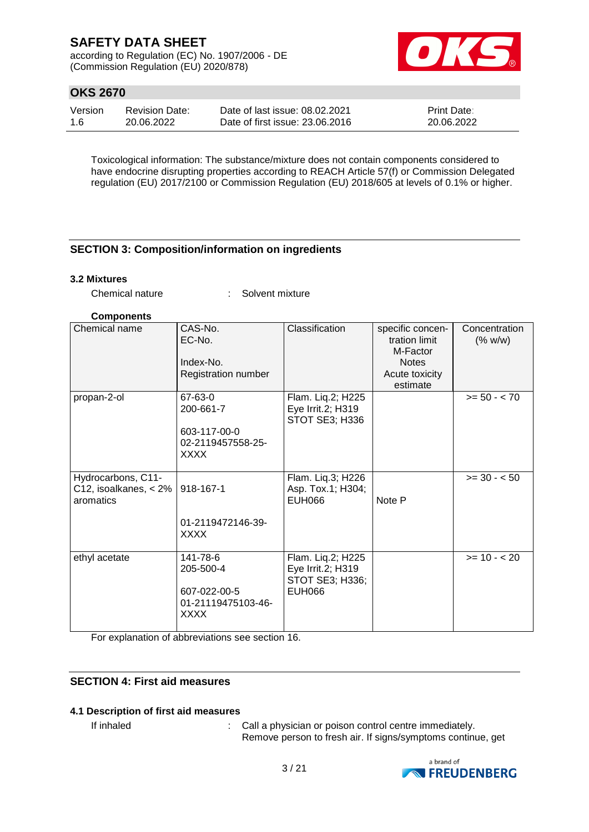according to Regulation (EC) No. 1907/2006 - DE (Commission Regulation (EU) 2020/878)



# **OKS 2670**

| Version | <b>Revision Date:</b> | Date of last issue: 08.02.2021  | <b>Print Date:</b> |
|---------|-----------------------|---------------------------------|--------------------|
| 1.6     | 20.06.2022            | Date of first issue: 23,06,2016 | 20.06.2022         |

Toxicological information: The substance/mixture does not contain components considered to have endocrine disrupting properties according to REACH Article 57(f) or Commission Delegated regulation (EU) 2017/2100 or Commission Regulation (EU) 2018/605 at levels of 0.1% or higher.

### **SECTION 3: Composition/information on ingredients**

#### **3.2 Mixtures**

Chemical nature : Solvent mixture

#### **Components**

| Chemical name                                            | CAS-No.<br>EC-No.<br>Index-No.<br>Registration number                      | Classification                                                             | specific concen-<br>tration limit<br>M-Factor<br><b>Notes</b><br>Acute toxicity<br>estimate | Concentration<br>(% w/w) |
|----------------------------------------------------------|----------------------------------------------------------------------------|----------------------------------------------------------------------------|---------------------------------------------------------------------------------------------|--------------------------|
| propan-2-ol                                              | 67-63-0<br>200-661-7<br>603-117-00-0<br>02-2119457558-25-<br><b>XXXX</b>   | Flam. Liq.2; H225<br>Eye Irrit.2; H319<br>STOT SE3; H336                   |                                                                                             | $>= 50 - < 70$           |
| Hydrocarbons, C11-<br>C12, isoalkanes, < 2%<br>aromatics | 918-167-1<br>01-2119472146-39-<br><b>XXXX</b>                              | Flam. Liq.3; H226<br>Asp. Tox.1; H304;<br>EUH066                           | Note P                                                                                      | $>= 30 - 50$             |
| ethyl acetate                                            | 141-78-6<br>205-500-4<br>607-022-00-5<br>01-21119475103-46-<br><b>XXXX</b> | Flam. Liq.2; H225<br>Eye Irrit.2; H319<br>STOT SE3; H336;<br><b>EUH066</b> |                                                                                             | $>= 10 - 20$             |

For explanation of abbreviations see section 16.

### **SECTION 4: First aid measures**

#### **4.1 Description of first aid measures**

If inhaled : Call a physician or poison control centre immediately. Remove person to fresh air. If signs/symptoms continue, get

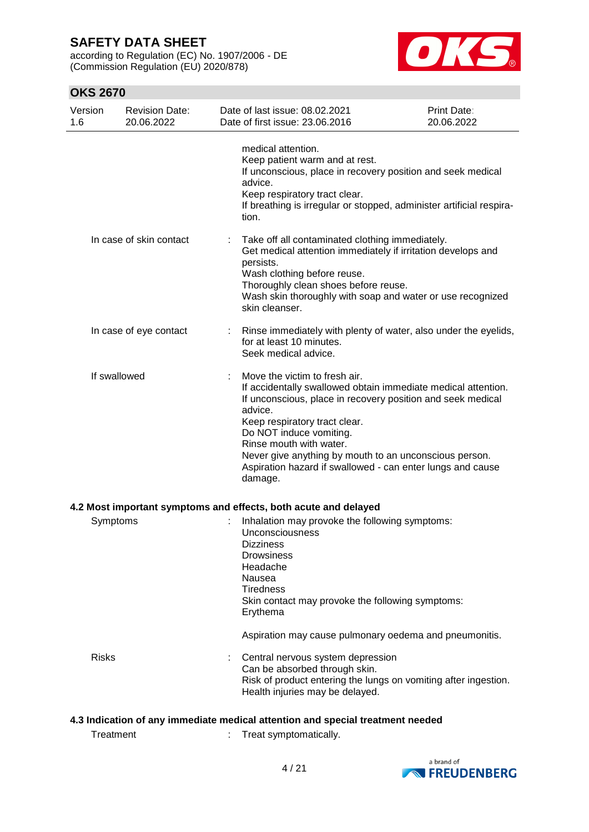according to Regulation (EC) No. 1907/2006 - DE (Commission Regulation (EU) 2020/878)



# **OKS 2670**

| Version<br>1.6 | <b>Revision Date:</b><br>20.06.2022 | Date of last issue: 08.02.2021<br>Date of first issue: 23.06.2016                                                                          | Print Date:<br>20.06.2022                                                                                                                                                                                                                            |
|----------------|-------------------------------------|--------------------------------------------------------------------------------------------------------------------------------------------|------------------------------------------------------------------------------------------------------------------------------------------------------------------------------------------------------------------------------------------------------|
|                |                                     | medical attention.<br>Keep patient warm and at rest.<br>advice.<br>Keep respiratory tract clear.<br>tion.                                  | If unconscious, place in recovery position and seek medical<br>If breathing is irregular or stopped, administer artificial respira-                                                                                                                  |
|                | In case of skin contact             | persists.<br>Wash clothing before reuse.<br>Thoroughly clean shoes before reuse.<br>skin cleanser.                                         | Take off all contaminated clothing immediately.<br>Get medical attention immediately if irritation develops and<br>Wash skin thoroughly with soap and water or use recognized                                                                        |
|                | In case of eye contact              | for at least 10 minutes.<br>Seek medical advice.                                                                                           | Rinse immediately with plenty of water, also under the eyelids,                                                                                                                                                                                      |
|                | If swallowed                        | Move the victim to fresh air.<br>advice.<br>Keep respiratory tract clear.<br>Do NOT induce vomiting.<br>Rinse mouth with water.<br>damage. | If accidentally swallowed obtain immediate medical attention.<br>If unconscious, place in recovery position and seek medical<br>Never give anything by mouth to an unconscious person.<br>Aspiration hazard if swallowed - can enter lungs and cause |
|                |                                     | 4.2 Most important symptoms and effects, both acute and delayed                                                                            |                                                                                                                                                                                                                                                      |
| Symptoms       |                                     | Unconsciousness<br><b>Dizziness</b><br><b>Drowsiness</b><br>Headache<br>Nausea<br><b>Tiredness</b><br>Erythema                             | Inhalation may provoke the following symptoms:<br>Skin contact may provoke the following symptoms:                                                                                                                                                   |
|                |                                     |                                                                                                                                            | Aspiration may cause pulmonary oedema and pneumonitis.                                                                                                                                                                                               |
| <b>Risks</b>   |                                     | Central nervous system depression<br>Can be absorbed through skin.<br>Health injuries may be delayed.                                      | Risk of product entering the lungs on vomiting after ingestion.                                                                                                                                                                                      |
|                |                                     |                                                                                                                                            | 4.3 Indication of any immediate medical attention and special treatment needed                                                                                                                                                                       |

Treatment : Treat symptomatically.

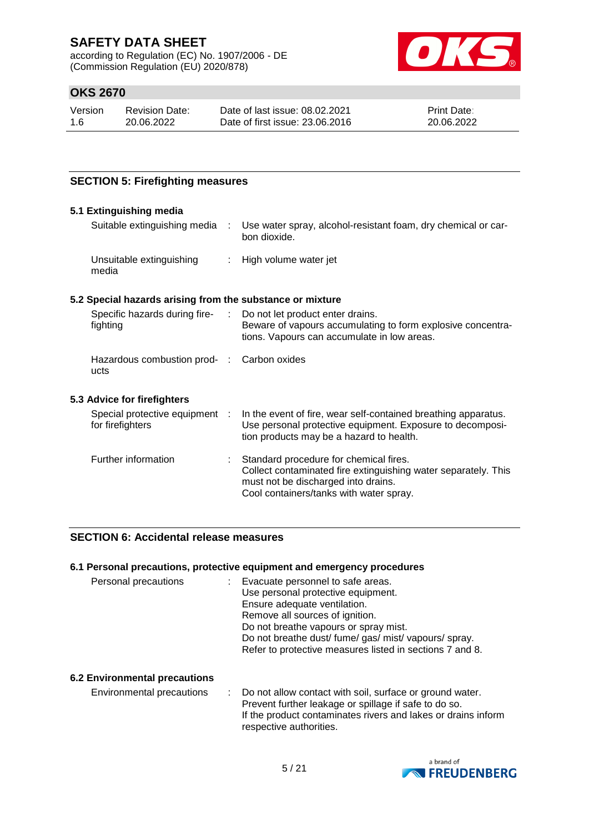according to Regulation (EC) No. 1907/2006 - DE (Commission Regulation (EU) 2020/878)



# **OKS 2670**

| Version | <b>Revision Date:</b> |
|---------|-----------------------|
| 1.6     | 20.06.2022            |

Date of last issue: 08.02.2021 Date of first issue: 23.06.2016 Print Date: 20.06.2022

### **SECTION 5: Firefighting measures**

#### **5.1 Extinguishing media**

| Suitable extinguishing media                              |  | Use water spray, alcohol-resistant foam, dry chemical or car-<br>bon dioxide. |  |  |  |
|-----------------------------------------------------------|--|-------------------------------------------------------------------------------|--|--|--|
| Unsuitable extinguishing<br>media                         |  | : High volume water jet                                                       |  |  |  |
| 5.2 Special hazards arising from the substance or mixture |  |                                                                               |  |  |  |

#### Specific hazards during firefighting : Do not let product enter drains. Beware of vapours accumulating to form explosive concentrations. Vapours can accumulate in low areas. Hazardous combustion prod-: Carbon oxides ucts **5.3 Advice for firefighters** Special protective equipment : for firefighters : In the event of fire, wear self-contained breathing apparatus. Use personal protective equipment. Exposure to decomposition products may be a hazard to health. Further information : Standard procedure for chemical fires. Collect contaminated fire extinguishing water separately. This

must not be discharged into drains. Cool containers/tanks with water spray.

# **SECTION 6: Accidental release measures**

#### **6.1 Personal precautions, protective equipment and emergency procedures**

| Personal precautions | : Evacuate personnel to safe areas.                      |
|----------------------|----------------------------------------------------------|
|                      | Use personal protective equipment.                       |
|                      | Ensure adequate ventilation.                             |
|                      | Remove all sources of ignition.                          |
|                      | Do not breathe vapours or spray mist.                    |
|                      | Do not breathe dust/ fume/ gas/ mist/ vapours/ spray.    |
|                      | Refer to protective measures listed in sections 7 and 8. |

#### **6.2 Environmental precautions**

Environmental precautions : Do not allow contact with soil, surface or ground water. Prevent further leakage or spillage if safe to do so. If the product contaminates rivers and lakes or drains inform respective authorities.

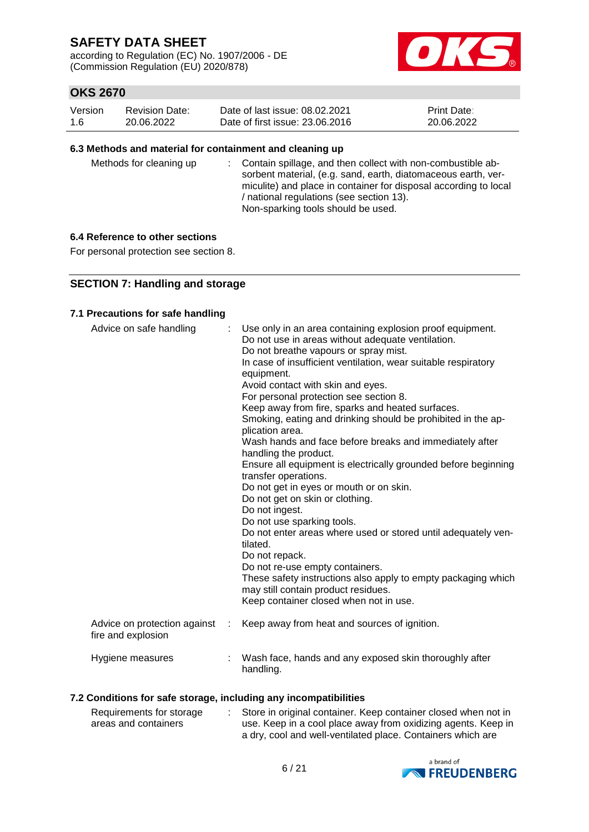according to Regulation (EC) No. 1907/2006 - DE (Commission Regulation (EU) 2020/878)



# **OKS 2670**

| Version | <b>Revision Date:</b> | Date of last issue: 08.02.2021  | <b>Print Date:</b> |
|---------|-----------------------|---------------------------------|--------------------|
| 1.6     | 20.06.2022            | Date of first issue: 23,06,2016 | 20.06.2022         |

#### **6.3 Methods and material for containment and cleaning up**

| Methods for cleaning up |  | : Contain spillage, and then collect with non-combustible ab-<br>sorbent material, (e.g. sand, earth, diatomaceous earth, ver-<br>miculite) and place in container for disposal according to local<br>/ national regulations (see section 13).<br>Non-sparking tools should be used. |
|-------------------------|--|--------------------------------------------------------------------------------------------------------------------------------------------------------------------------------------------------------------------------------------------------------------------------------------|
|-------------------------|--|--------------------------------------------------------------------------------------------------------------------------------------------------------------------------------------------------------------------------------------------------------------------------------------|

#### **6.4 Reference to other sections**

For personal protection see section 8.

### **SECTION 7: Handling and storage**

#### **7.1 Precautions for safe handling**

| Advice on safe handling                            |   | Use only in an area containing explosion proof equipment.<br>Do not use in areas without adequate ventilation.<br>Do not breathe vapours or spray mist.<br>In case of insufficient ventilation, wear suitable respiratory<br>equipment.<br>Avoid contact with skin and eyes.<br>For personal protection see section 8.<br>Keep away from fire, sparks and heated surfaces.<br>Smoking, eating and drinking should be prohibited in the ap-<br>plication area.<br>Wash hands and face before breaks and immediately after<br>handling the product.<br>Ensure all equipment is electrically grounded before beginning<br>transfer operations.<br>Do not get in eyes or mouth or on skin.<br>Do not get on skin or clothing.<br>Do not ingest.<br>Do not use sparking tools.<br>Do not enter areas where used or stored until adequately ven-<br>tilated.<br>Do not repack.<br>Do not re-use empty containers.<br>These safety instructions also apply to empty packaging which<br>may still contain product residues.<br>Keep container closed when not in use. |
|----------------------------------------------------|---|---------------------------------------------------------------------------------------------------------------------------------------------------------------------------------------------------------------------------------------------------------------------------------------------------------------------------------------------------------------------------------------------------------------------------------------------------------------------------------------------------------------------------------------------------------------------------------------------------------------------------------------------------------------------------------------------------------------------------------------------------------------------------------------------------------------------------------------------------------------------------------------------------------------------------------------------------------------------------------------------------------------------------------------------------------------|
| Advice on protection against<br>fire and explosion | ÷ | Keep away from heat and sources of ignition.                                                                                                                                                                                                                                                                                                                                                                                                                                                                                                                                                                                                                                                                                                                                                                                                                                                                                                                                                                                                                  |
| Hygiene measures                                   |   | Wash face, hands and any exposed skin thoroughly after<br>handling.                                                                                                                                                                                                                                                                                                                                                                                                                                                                                                                                                                                                                                                                                                                                                                                                                                                                                                                                                                                           |

### **7.2 Conditions for safe storage, including any incompatibilities**

| Requirements for storage | Store in original container. Keep container closed when not in |
|--------------------------|----------------------------------------------------------------|
| areas and containers     | use. Keep in a cool place away from oxidizing agents. Keep in  |
|                          | a dry, cool and well-ventilated place. Containers which are    |

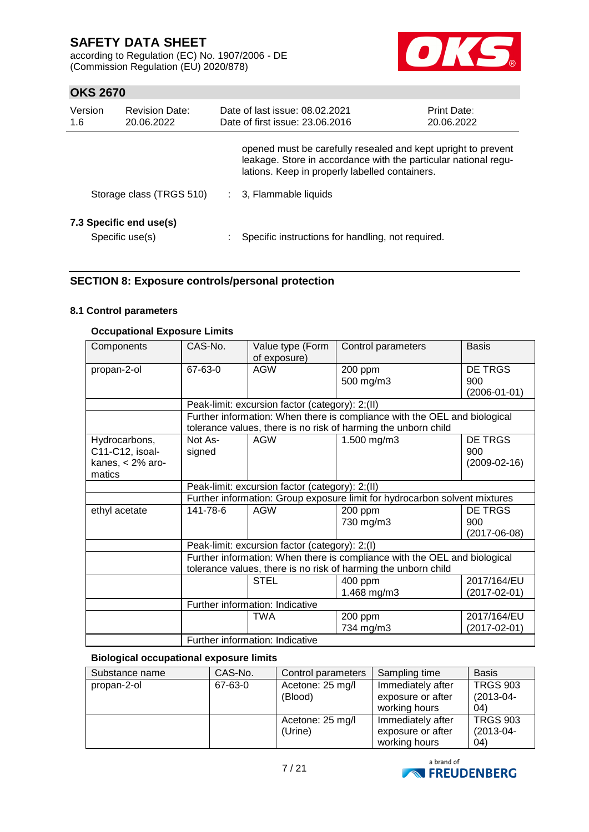according to Regulation (EC) No. 1907/2006 - DE (Commission Regulation (EU) 2020/878)



# **OKS 2670**

| Version<br><b>Revision Date:</b><br>1.6<br>20.06.2022 |                                            | Date of last issue: 08.02.2021<br><b>Print Date:</b><br>Date of first issue: 23.06.2016<br>20.06.2022                                                                              |  |  |
|-------------------------------------------------------|--------------------------------------------|------------------------------------------------------------------------------------------------------------------------------------------------------------------------------------|--|--|
|                                                       |                                            | opened must be carefully resealed and kept upright to prevent<br>leakage. Store in accordance with the particular national regu-<br>lations. Keep in properly labelled containers. |  |  |
|                                                       | Storage class (TRGS 510)                   | : 3, Flammable liquids                                                                                                                                                             |  |  |
|                                                       | 7.3 Specific end use(s)<br>Specific use(s) | Specific instructions for handling, not required.                                                                                                                                  |  |  |

### **SECTION 8: Exposure controls/personal protection**

#### **8.1 Control parameters**

### **Occupational Exposure Limits**

| Components                                                     | CAS-No.                                                                                                                                     | Value type (Form<br>of exposure)                | Control parameters                                                                                                                          | <b>Basis</b>                         |  |  |  |
|----------------------------------------------------------------|---------------------------------------------------------------------------------------------------------------------------------------------|-------------------------------------------------|---------------------------------------------------------------------------------------------------------------------------------------------|--------------------------------------|--|--|--|
| propan-2-ol                                                    | 67-63-0                                                                                                                                     | <b>AGW</b>                                      | 200 ppm<br>500 mg/m3                                                                                                                        | DE TRGS<br>900<br>$(2006 - 01 - 01)$ |  |  |  |
|                                                                |                                                                                                                                             | Peak-limit: excursion factor (category): 2;(II) |                                                                                                                                             |                                      |  |  |  |
|                                                                |                                                                                                                                             |                                                 | Further information: When there is compliance with the OEL and biological<br>tolerance values, there is no risk of harming the unborn child |                                      |  |  |  |
| Hydrocarbons,<br>C11-C12, isoal-<br>kanes, < 2% aro-<br>matics | Not As-<br>signed                                                                                                                           | <b>AGW</b>                                      | 1.500 mg/m3                                                                                                                                 | DE TRGS<br>900<br>$(2009 - 02 - 16)$ |  |  |  |
|                                                                | Peak-limit: excursion factor (category): 2;(II)                                                                                             |                                                 |                                                                                                                                             |                                      |  |  |  |
|                                                                | Further information: Group exposure limit for hydrocarbon solvent mixtures                                                                  |                                                 |                                                                                                                                             |                                      |  |  |  |
| ethyl acetate                                                  | 141-78-6                                                                                                                                    | <b>AGW</b>                                      | 200 ppm<br>730 mg/m3                                                                                                                        | DE TRGS<br>900<br>$(2017 - 06 - 08)$ |  |  |  |
|                                                                |                                                                                                                                             | Peak-limit: excursion factor (category): 2;(I)  |                                                                                                                                             |                                      |  |  |  |
|                                                                | Further information: When there is compliance with the OEL and biological<br>tolerance values, there is no risk of harming the unborn child |                                                 |                                                                                                                                             |                                      |  |  |  |
|                                                                |                                                                                                                                             | <b>STEL</b>                                     | 400 ppm<br>1.468 mg/m3                                                                                                                      | 2017/164/EU<br>(2017-02-01)          |  |  |  |
|                                                                |                                                                                                                                             | Further information: Indicative                 |                                                                                                                                             |                                      |  |  |  |
|                                                                |                                                                                                                                             | <b>TWA</b><br>Further information: Indicative   | 200 ppm<br>734 mg/m3                                                                                                                        | 2017/164/EU<br>$(2017 - 02 - 01)$    |  |  |  |

### **Biological occupational exposure limits**

| Substance name | CAS-No. | Control parameters | Sampling time     | <b>Basis</b>    |
|----------------|---------|--------------------|-------------------|-----------------|
| propan-2-ol    | 67-63-0 | Acetone: 25 mg/l   | Immediately after | <b>TRGS 903</b> |
|                |         | (Blood)            | exposure or after | $(2013-04-$     |
|                |         |                    | working hours     | 04)             |
|                |         | Acetone: 25 mg/l   | Immediately after | <b>TRGS 903</b> |
|                |         | (Urine)            | exposure or after | $(2013-04-$     |
|                |         |                    | working hours     | 04)             |

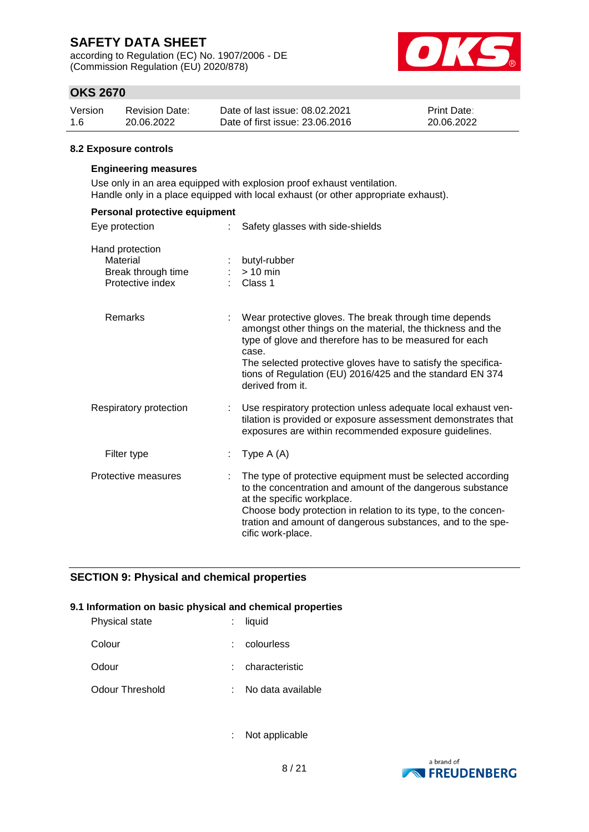according to Regulation (EC) No. 1907/2006 - DE (Commission Regulation (EU) 2020/878)



# **OKS 2670**

| Version | <b>Revision Date:</b> | Date of last issue: 08.02.2021  | <b>Print Date:</b> |
|---------|-----------------------|---------------------------------|--------------------|
| 1.6     | 20.06.2022            | Date of first issue: 23,06,2016 | 20.06.2022         |

#### **8.2 Exposure controls**

#### **Engineering measures**

Use only in an area equipped with explosion proof exhaust ventilation. Handle only in a place equipped with local exhaust (or other appropriate exhaust).

| Personal protective equipment                                         |   |                                                                                                                                                                                                                                                                                                                                             |
|-----------------------------------------------------------------------|---|---------------------------------------------------------------------------------------------------------------------------------------------------------------------------------------------------------------------------------------------------------------------------------------------------------------------------------------------|
| Eye protection                                                        |   | Safety glasses with side-shields                                                                                                                                                                                                                                                                                                            |
| Hand protection<br>Material<br>Break through time<br>Protective index |   | butyl-rubber<br>$> 10$ min<br>Class 1                                                                                                                                                                                                                                                                                                       |
| <b>Remarks</b>                                                        |   | Wear protective gloves. The break through time depends<br>amongst other things on the material, the thickness and the<br>type of glove and therefore has to be measured for each<br>case.<br>The selected protective gloves have to satisfy the specifica-<br>tions of Regulation (EU) 2016/425 and the standard EN 374<br>derived from it. |
| Respiratory protection                                                | ÷ | Use respiratory protection unless adequate local exhaust ven-<br>tilation is provided or exposure assessment demonstrates that<br>exposures are within recommended exposure guidelines.                                                                                                                                                     |
| Filter type                                                           |   | Type $A(A)$                                                                                                                                                                                                                                                                                                                                 |
| Protective measures                                                   |   | The type of protective equipment must be selected according<br>to the concentration and amount of the dangerous substance<br>at the specific workplace.<br>Choose body protection in relation to its type, to the concen-<br>tration and amount of dangerous substances, and to the spe-<br>cific work-place.                               |

#### **SECTION 9: Physical and chemical properties**

#### **9.1 Information on basic physical and chemical properties**

| Physical state  | $:$ liquid        |
|-----------------|-------------------|
| Colour          | colourless        |
| Odour           | characteristic    |
| Odour Threshold | No data available |

: Not applicable

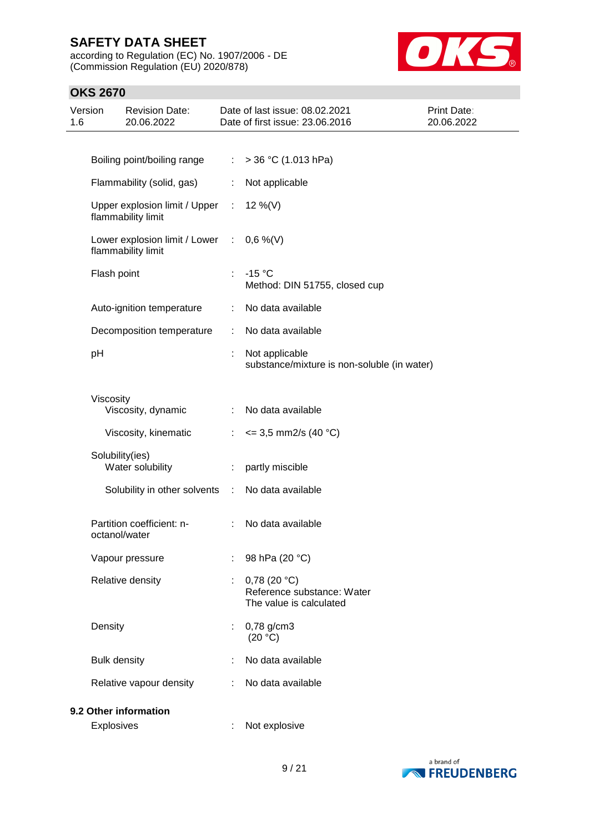according to Regulation (EC) No. 1907/2006 - DE (Commission Regulation (EU) 2020/878)



| Version<br>1.6 |                     | <b>Revision Date:</b><br>20.06.2022                   |                             | Date of last issue: 08.02.2021<br>Date of first issue: 23.06.2016       | <b>Print Date:</b><br>20.06.2022 |
|----------------|---------------------|-------------------------------------------------------|-----------------------------|-------------------------------------------------------------------------|----------------------------------|
|                |                     |                                                       |                             |                                                                         |                                  |
|                |                     | Boiling point/boiling range                           |                             | : $>$ 36 °C (1.013 hPa)                                                 |                                  |
|                |                     | Flammability (solid, gas)                             | ÷                           | Not applicable                                                          |                                  |
|                |                     | Upper explosion limit / Upper :<br>flammability limit |                             | 12 %(V)                                                                 |                                  |
|                |                     | Lower explosion limit / Lower :<br>flammability limit |                             | $0,6\%$ (V)                                                             |                                  |
|                | Flash point         |                                                       | ÷                           | $-15 °C$<br>Method: DIN 51755, closed cup                               |                                  |
|                |                     | Auto-ignition temperature                             | ÷                           | No data available                                                       |                                  |
|                |                     | Decomposition temperature                             | $\mathbb{R}^2$              | No data available                                                       |                                  |
|                | pH                  |                                                       |                             | Not applicable<br>substance/mixture is non-soluble (in water)           |                                  |
|                | Viscosity           | Viscosity, dynamic                                    | $\mathbb{R}^n$              | No data available                                                       |                                  |
|                |                     | Viscosity, kinematic                                  | ÷                           | $\epsilon$ = 3,5 mm2/s (40 °C)                                          |                                  |
|                |                     | Solubility(ies)<br>Water solubility                   | ÷                           | partly miscible                                                         |                                  |
|                |                     | Solubility in other solvents                          | $\mathcal{I}^{\mathcal{I}}$ | No data available                                                       |                                  |
|                |                     | Partition coefficient: n-<br>octanol/water            | ÷                           | No data available                                                       |                                  |
|                |                     | Vapour pressure                                       |                             | 98 hPa (20 °C)                                                          |                                  |
|                |                     | Relative density                                      | ÷                           | $0,78$ (20 °C)<br>Reference substance: Water<br>The value is calculated |                                  |
|                | Density             |                                                       |                             | 0,78 g/cm3<br>(20 °C)                                                   |                                  |
|                | <b>Bulk density</b> |                                                       |                             | No data available                                                       |                                  |
|                |                     | Relative vapour density                               |                             | No data available                                                       |                                  |
|                |                     | 9.2 Other information                                 |                             |                                                                         |                                  |
|                | <b>Explosives</b>   |                                                       |                             | Not explosive                                                           |                                  |

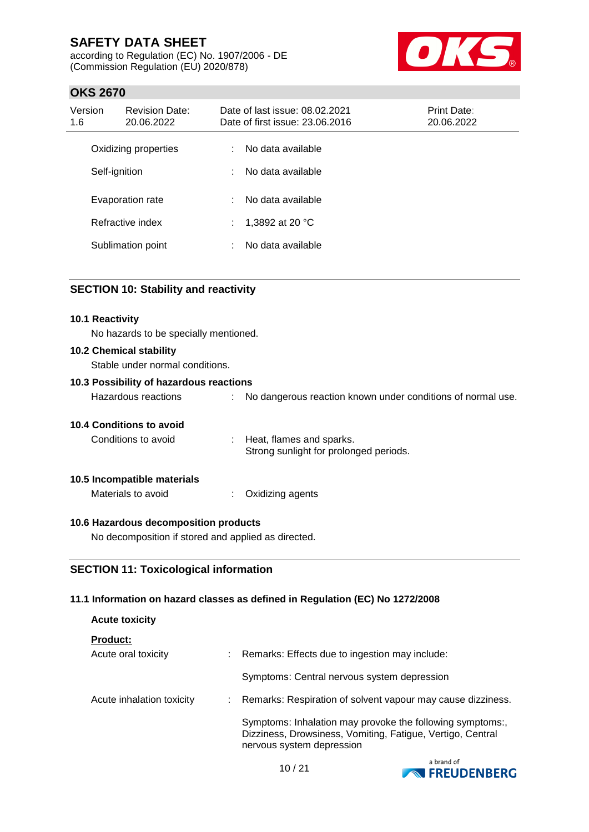according to Regulation (EC) No. 1907/2006 - DE (Commission Regulation (EU) 2020/878)



# **OKS 2670**

| Version<br>1.6 | <b>Revision Date:</b><br>20.06.2022 |    | Date of last issue: 08.02.2021<br>Date of first issue: 23.06.2016 | <b>Print Date:</b><br>20.06.2022 |
|----------------|-------------------------------------|----|-------------------------------------------------------------------|----------------------------------|
|                | Oxidizing properties                | ÷. | No data available                                                 |                                  |
|                | Self-ignition                       | ÷. | No data available                                                 |                                  |
|                | Evaporation rate                    | ÷. | No data available                                                 |                                  |
|                | Refractive index                    | ÷  | 1,3892 at 20 °C                                                   |                                  |
|                | Sublimation point                   | ÷  | No data available                                                 |                                  |

### **SECTION 10: Stability and reactivity**

#### **10.1 Reactivity**

No hazards to be specially mentioned.

#### **10.2 Chemical stability**

Stable under normal conditions.

#### **10.3 Possibility of hazardous reactions**

| Hazardous reactions | No dangerous reaction known under conditions of normal use. |
|---------------------|-------------------------------------------------------------|
|                     |                                                             |

#### **10.4 Conditions to avoid**

| Conditions to avoid | Heat, flames and sparks.               |
|---------------------|----------------------------------------|
|                     | Strong sunlight for prolonged periods. |

#### **10.5 Incompatible materials**

Materials to avoid : Oxidizing agents

#### **10.6 Hazardous decomposition products**

No decomposition if stored and applied as directed.

### **SECTION 11: Toxicological information**

#### **11.1 Information on hazard classes as defined in Regulation (EC) No 1272/2008**

# **Acute toxicity**

**Product:**

| Acute oral toxicity       | Remarks: Effects due to ingestion may include:                                                                                                       |
|---------------------------|------------------------------------------------------------------------------------------------------------------------------------------------------|
|                           | Symptoms: Central nervous system depression                                                                                                          |
| Acute inhalation toxicity | Remarks: Respiration of solvent vapour may cause dizziness.                                                                                          |
|                           | Symptoms: Inhalation may provoke the following symptoms:,<br>Dizziness, Drowsiness, Vomiting, Fatigue, Vertigo, Central<br>nervous system depression |

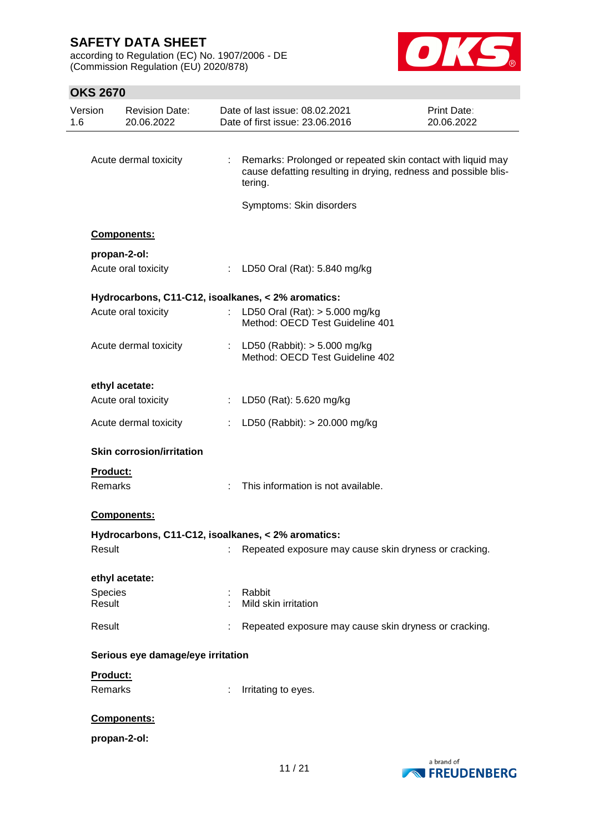according to Regulation (EC) No. 1907/2006 - DE (Commission Regulation (EU) 2020/878)



| Version<br>1.6  | <b>Revision Date:</b><br>20.06.2022 |                       | Date of last issue: 08.02.2021<br>Date of first issue: 23.06.2016                                                                         | Print Date:<br>20.06.2022 |
|-----------------|-------------------------------------|-----------------------|-------------------------------------------------------------------------------------------------------------------------------------------|---------------------------|
|                 |                                     |                       |                                                                                                                                           |                           |
|                 | Acute dermal toxicity               | $\mathbb{Z}^{\times}$ | Remarks: Prolonged or repeated skin contact with liquid may<br>cause defatting resulting in drying, redness and possible blis-<br>tering. |                           |
|                 |                                     |                       | Symptoms: Skin disorders                                                                                                                  |                           |
|                 | <b>Components:</b>                  |                       |                                                                                                                                           |                           |
|                 | propan-2-ol:                        |                       |                                                                                                                                           |                           |
|                 | Acute oral toxicity                 |                       | : LD50 Oral (Rat): 5.840 mg/kg                                                                                                            |                           |
|                 |                                     |                       | Hydrocarbons, C11-C12, isoalkanes, < 2% aromatics:                                                                                        |                           |
|                 | Acute oral toxicity                 |                       | : LD50 Oral (Rat): > 5.000 mg/kg<br>Method: OECD Test Guideline 401                                                                       |                           |
|                 | Acute dermal toxicity               |                       | : LD50 (Rabbit): $> 5.000$ mg/kg<br>Method: OECD Test Guideline 402                                                                       |                           |
|                 | ethyl acetate:                      |                       |                                                                                                                                           |                           |
|                 | Acute oral toxicity                 |                       | : LD50 (Rat): 5.620 mg/kg                                                                                                                 |                           |
|                 | Acute dermal toxicity               |                       | : LD50 (Rabbit): $> 20.000$ mg/kg                                                                                                         |                           |
|                 | <b>Skin corrosion/irritation</b>    |                       |                                                                                                                                           |                           |
| <b>Product:</b> |                                     |                       |                                                                                                                                           |                           |
| <b>Remarks</b>  |                                     |                       | This information is not available.                                                                                                        |                           |
|                 | <b>Components:</b>                  |                       |                                                                                                                                           |                           |
|                 |                                     |                       | Hydrocarbons, C11-C12, isoalkanes, < 2% aromatics:                                                                                        |                           |
| Result          |                                     |                       | Repeated exposure may cause skin dryness or cracking.                                                                                     |                           |
|                 | ethyl acetate:                      |                       |                                                                                                                                           |                           |
| Species         |                                     |                       | Rabbit                                                                                                                                    |                           |
| Result          |                                     |                       | Mild skin irritation                                                                                                                      |                           |
| Result          |                                     |                       | Repeated exposure may cause skin dryness or cracking.                                                                                     |                           |
|                 | Serious eye damage/eye irritation   |                       |                                                                                                                                           |                           |
| Product:        |                                     |                       |                                                                                                                                           |                           |
| Remarks         |                                     | ÷.                    | Irritating to eyes.                                                                                                                       |                           |
|                 | Components:                         |                       |                                                                                                                                           |                           |
|                 | propan-2-ol:                        |                       |                                                                                                                                           |                           |

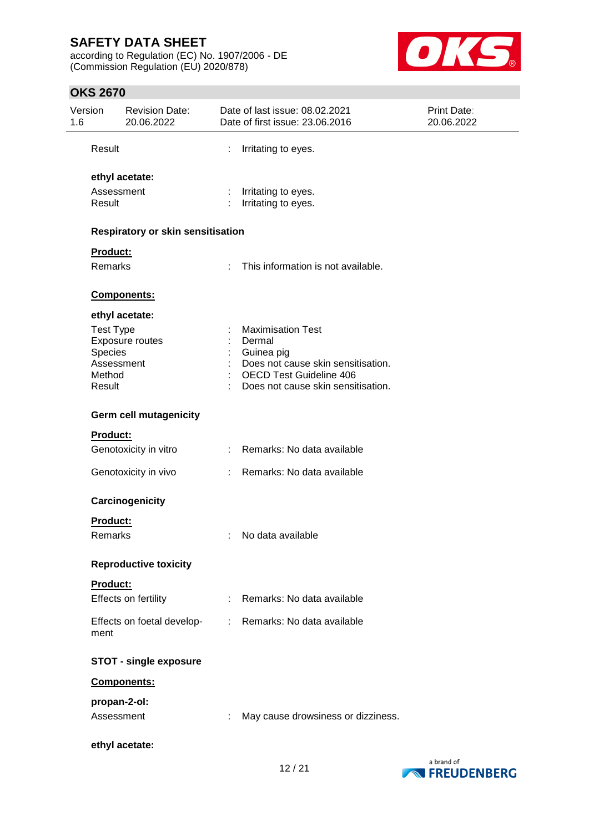according to Regulation (EC) No. 1907/2006 - DE (Commission Regulation (EU) 2020/878)



| Version<br>1.6 |                      | <b>Revision Date:</b><br>20.06.2022 |    | Date of last issue: 08.02.2021<br>Date of first issue: 23.06.2016    | Print Date:<br>20.06.2022 |
|----------------|----------------------|-------------------------------------|----|----------------------------------------------------------------------|---------------------------|
|                | Result               |                                     |    | Irritating to eyes.                                                  |                           |
|                |                      | ethyl acetate:                      |    |                                                                      |                           |
|                | Assessment<br>Result |                                     |    | Irritating to eyes.<br>Irritating to eyes.                           |                           |
|                |                      | Respiratory or skin sensitisation   |    |                                                                      |                           |
|                | Product:             |                                     |    |                                                                      |                           |
|                | <b>Remarks</b>       |                                     | ÷  | This information is not available.                                   |                           |
|                |                      | Components:                         |    |                                                                      |                           |
|                |                      | ethyl acetate:                      |    |                                                                      |                           |
|                | <b>Test Type</b>     | Exposure routes                     |    | <b>Maximisation Test</b><br>Dermal                                   |                           |
|                | Species              |                                     |    | Guinea pig                                                           |                           |
|                | Assessment<br>Method |                                     |    | Does not cause skin sensitisation.<br><b>OECD Test Guideline 406</b> |                           |
|                | Result               |                                     |    | Does not cause skin sensitisation.                                   |                           |
|                |                      | <b>Germ cell mutagenicity</b>       |    |                                                                      |                           |
|                | Product:             |                                     |    |                                                                      |                           |
|                |                      | Genotoxicity in vitro               |    | Remarks: No data available                                           |                           |
|                |                      | Genotoxicity in vivo                |    | Remarks: No data available                                           |                           |
|                |                      | Carcinogenicity                     |    |                                                                      |                           |
|                | Product:             |                                     |    |                                                                      |                           |
|                | Remarks              |                                     | t  | No data available                                                    |                           |
|                |                      | <b>Reproductive toxicity</b>        |    |                                                                      |                           |
|                | <b>Product:</b>      |                                     |    |                                                                      |                           |
|                |                      | Effects on fertility                | ÷  | Remarks: No data available                                           |                           |
|                | ment                 | Effects on foetal develop-          | t. | Remarks: No data available                                           |                           |
|                |                      | <b>STOT - single exposure</b>       |    |                                                                      |                           |
|                |                      | Components:                         |    |                                                                      |                           |
|                |                      | propan-2-ol:                        |    |                                                                      |                           |
|                | Assessment           |                                     |    | May cause drowsiness or dizziness.                                   |                           |
|                |                      | ethyl acetate:                      |    |                                                                      |                           |

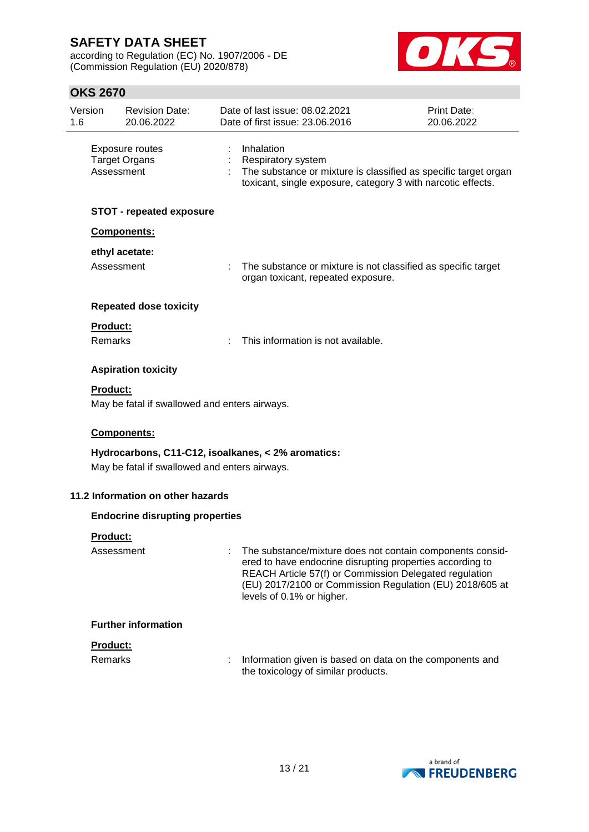according to Regulation (EC) No. 1907/2006 - DE (Commission Regulation (EU) 2020/878)



| 1.6 | Version                           | <b>Revision Date:</b><br>20.06.2022           | Date of last issue: 08.02.2021<br>Date of first issue: 23.06.2016                                                                                                                                                                                                         | <b>Print Date:</b><br>20.06.2022 |
|-----|-----------------------------------|-----------------------------------------------|---------------------------------------------------------------------------------------------------------------------------------------------------------------------------------------------------------------------------------------------------------------------------|----------------------------------|
|     | Assessment                        | Exposure routes<br><b>Target Organs</b>       | Inhalation<br><b>Respiratory system</b><br>The substance or mixture is classified as specific target organ<br>toxicant, single exposure, category 3 with narcotic effects.                                                                                                |                                  |
|     |                                   | <b>STOT - repeated exposure</b>               |                                                                                                                                                                                                                                                                           |                                  |
|     |                                   | Components:                                   |                                                                                                                                                                                                                                                                           |                                  |
|     | Assessment                        | ethyl acetate:                                | : The substance or mixture is not classified as specific target<br>organ toxicant, repeated exposure.                                                                                                                                                                     |                                  |
|     |                                   | <b>Repeated dose toxicity</b>                 |                                                                                                                                                                                                                                                                           |                                  |
|     | <b>Product:</b><br>Remarks        |                                               | This information is not available.                                                                                                                                                                                                                                        |                                  |
|     |                                   | <b>Aspiration toxicity</b>                    |                                                                                                                                                                                                                                                                           |                                  |
|     | <b>Product:</b>                   |                                               |                                                                                                                                                                                                                                                                           |                                  |
|     |                                   | May be fatal if swallowed and enters airways. |                                                                                                                                                                                                                                                                           |                                  |
|     |                                   | Components:                                   |                                                                                                                                                                                                                                                                           |                                  |
|     |                                   | May be fatal if swallowed and enters airways. | Hydrocarbons, C11-C12, isoalkanes, < 2% aromatics:                                                                                                                                                                                                                        |                                  |
|     |                                   | 11.2 Information on other hazards             |                                                                                                                                                                                                                                                                           |                                  |
|     |                                   | <b>Endocrine disrupting properties</b>        |                                                                                                                                                                                                                                                                           |                                  |
|     | <b>Product:</b>                   |                                               |                                                                                                                                                                                                                                                                           |                                  |
|     | Assessment                        |                                               | The substance/mixture does not contain components consid-<br>ered to have endocrine disrupting properties according to<br>REACH Article 57(f) or Commission Delegated regulation<br>(EU) 2017/2100 or Commission Regulation (EU) 2018/605 at<br>levels of 0.1% or higher. |                                  |
|     |                                   | <b>Further information</b>                    |                                                                                                                                                                                                                                                                           |                                  |
|     | <b>Product:</b><br><b>Remarks</b> |                                               | Information given is based on data on the components and<br>the toxicology of similar products.                                                                                                                                                                           |                                  |

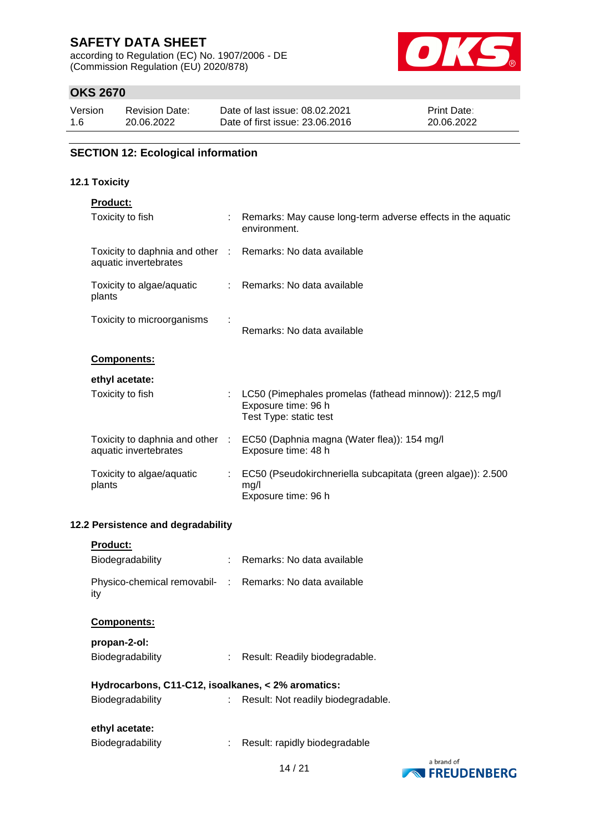according to Regulation (EC) No. 1907/2006 - DE (Commission Regulation (EU) 2020/878)



# **OKS 2670**

| Version | <b>Revision Date:</b> | Date of last issue: 08.02.2021  | <b>Print Date:</b> |
|---------|-----------------------|---------------------------------|--------------------|
| 1.6     | 20.06.2022            | Date of first issue: 23,06,2016 | 20.06.2022         |

# **SECTION 12: Ecological information**

#### **12.1 Toxicity**

| <b>Product:</b>                                                                     |                                                                                                            |
|-------------------------------------------------------------------------------------|------------------------------------------------------------------------------------------------------------|
| Toxicity to fish                                                                    | : Remarks: May cause long-term adverse effects in the aquatic<br>environment.                              |
| Toxicity to daphnia and other : Remarks: No data available<br>aquatic invertebrates |                                                                                                            |
| Toxicity to algae/aquatic<br>plants                                                 | : Remarks: No data available                                                                               |
| Toxicity to microorganisms                                                          | Remarks: No data available                                                                                 |
| <b>Components:</b>                                                                  |                                                                                                            |
| ethyl acetate:                                                                      |                                                                                                            |
| Toxicity to fish                                                                    | : LC50 (Pimephales promelas (fathead minnow)): 212,5 mg/l<br>Exposure time: 96 h<br>Test Type: static test |
| aquatic invertebrates                                                               | Toxicity to daphnia and other : EC50 (Daphnia magna (Water flea)): 154 mg/l<br>Exposure time: 48 h         |
| Toxicity to algae/aquatic<br>plants                                                 | : EC50 (Pseudokirchneriella subcapitata (green algae)): 2.500<br>mg/l<br>Exposure time: 96 h               |

# **12.2 Persistence and degradability**

| <b>Product:</b>                                                 |    |                                    |
|-----------------------------------------------------------------|----|------------------------------------|
| Biodegradability                                                |    | Remarks: No data available         |
| Physico-chemical removabil- : Remarks: No data available<br>ity |    |                                    |
| <b>Components:</b>                                              |    |                                    |
| propan-2-ol:                                                    |    |                                    |
| Biodegradability                                                |    | Result: Readily biodegradable.     |
| Hydrocarbons, C11-C12, isoalkanes, < 2% aromatics:              |    |                                    |
| Biodegradability                                                | t. | Result: Not readily biodegradable. |
| ethyl acetate:<br>Biodegradability                              |    | Result: rapidly biodegradable      |
|                                                                 |    |                                    |

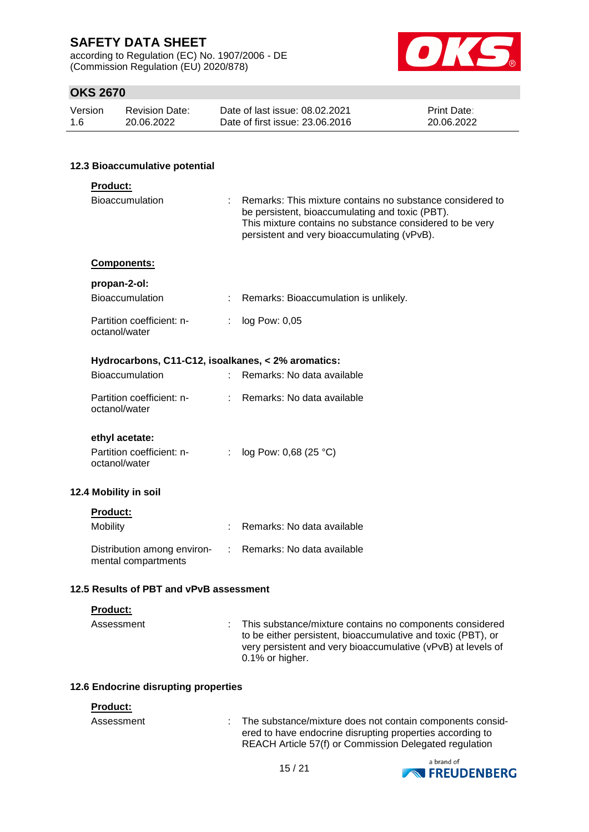according to Regulation (EC) No. 1907/2006 - DE (Commission Regulation (EU) 2020/878)



# **OKS 2670**

| Version | <b>Revision Date:</b> | Date of last issue: 08.02.2021  | <b>Print Date:</b> |
|---------|-----------------------|---------------------------------|--------------------|
| 1.6     | 20.06.2022            | Date of first issue: 23,06,2016 | 20.06.2022         |

#### **12.3 Bioaccumulative potential**

| Product:                                           |               |                                                                                                                                                                                                                         |
|----------------------------------------------------|---------------|-------------------------------------------------------------------------------------------------------------------------------------------------------------------------------------------------------------------------|
| Bioaccumulation                                    | ÷.            | Remarks: This mixture contains no substance considered to<br>be persistent, bioaccumulating and toxic (PBT).<br>This mixture contains no substance considered to be very<br>persistent and very bioaccumulating (vPvB). |
| Components:                                        |               |                                                                                                                                                                                                                         |
| propan-2-ol:                                       |               |                                                                                                                                                                                                                         |
| <b>Bioaccumulation</b>                             |               | : Remarks: Bioaccumulation is unlikely.                                                                                                                                                                                 |
| Partition coefficient: n-<br>octanol/water         |               | : $log Pow: 0,05$                                                                                                                                                                                                       |
| Hydrocarbons, C11-C12, isoalkanes, < 2% aromatics: |               |                                                                                                                                                                                                                         |
| <b>Bioaccumulation</b>                             |               | Remarks: No data available                                                                                                                                                                                              |
| Partition coefficient: n-<br>octanol/water         | $\mathcal{L}$ | Remarks: No data available                                                                                                                                                                                              |
| ethyl acetate:                                     |               |                                                                                                                                                                                                                         |
| Partition coefficient: n-<br>octanol/water         |               | : $log Pow: 0,68 (25 °C)$                                                                                                                                                                                               |
| 12.4 Mobility in soil                              |               |                                                                                                                                                                                                                         |
| <b>Product:</b>                                    |               |                                                                                                                                                                                                                         |
| Mobility                                           | t.            | Remarks: No data available                                                                                                                                                                                              |
| Distribution among environ-<br>mental compartments |               | : Remarks: No data available                                                                                                                                                                                            |
| 12.5 Results of PBT and vPvB assessment            |               |                                                                                                                                                                                                                         |
| <b>Product:</b>                                    |               |                                                                                                                                                                                                                         |
| Accoccmont                                         |               | This substance/mixture contains no companents considered                                                                                                                                                                |

| Assessment | : This substance/mixture contains no components considered<br>to be either persistent, bioaccumulative and toxic (PBT), or<br>very persistent and very bioaccumulative (vPvB) at levels of<br>0.1% or higher. |
|------------|---------------------------------------------------------------------------------------------------------------------------------------------------------------------------------------------------------------|
|            |                                                                                                                                                                                                               |

### **12.6 Endocrine disrupting properties**

#### **Product:**

| .          |                                                           |
|------------|-----------------------------------------------------------|
| Assessment | The substance/mixture does not contain components consid- |
|            | ered to have endocrine disrupting properties according to |
|            | REACH Article 57(f) or Commission Delegated regulation    |

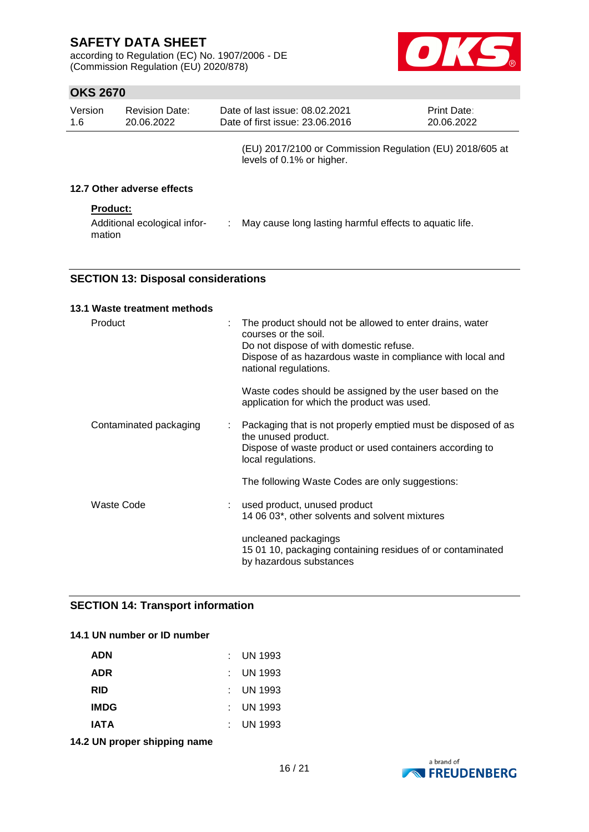according to Regulation (EC) No. 1907/2006 - DE (Commission Regulation (EU) 2020/878)



# **OKS 2670**

| Version<br>1.6 | <b>Revision Date:</b><br>20.06.2022 | Date of last issue: 08.02.2021<br>Date of first issue: 23.06.2016                     | <b>Print Date:</b><br>20.06.2022 |  |
|----------------|-------------------------------------|---------------------------------------------------------------------------------------|----------------------------------|--|
|                |                                     | (EU) 2017/2100 or Commission Regulation (EU) 2018/605 at<br>levels of 0.1% or higher. |                                  |  |
|                | 12.7 Other adverse effects          |                                                                                       |                                  |  |

#### **Product:**

| Additional ecological infor- | May cause long lasting harmful effects to aquatic life. |
|------------------------------|---------------------------------------------------------|
| mation                       |                                                         |

### **SECTION 13: Disposal considerations**

| 13.1 Waste treatment methods |   |                                                                                                                                                                                                                    |
|------------------------------|---|--------------------------------------------------------------------------------------------------------------------------------------------------------------------------------------------------------------------|
| Product                      | ÷ | The product should not be allowed to enter drains, water<br>courses or the soil.<br>Do not dispose of with domestic refuse.<br>Dispose of as hazardous waste in compliance with local and<br>national regulations. |
|                              |   | Waste codes should be assigned by the user based on the<br>application for which the product was used.                                                                                                             |
| Contaminated packaging       | ÷ | Packaging that is not properly emptied must be disposed of as<br>the unused product.<br>Dispose of waste product or used containers according to<br>local regulations.                                             |
|                              |   | The following Waste Codes are only suggestions:                                                                                                                                                                    |
| Waste Code                   |   | used product, unused product<br>14 06 03*, other solvents and solvent mixtures                                                                                                                                     |
|                              |   | uncleaned packagings<br>15 01 10, packaging containing residues of or contaminated<br>by hazardous substances                                                                                                      |

### **SECTION 14: Transport information**

### **14.1 UN number or ID number**

| <b>ADN</b>  | : UN 1993            |
|-------------|----------------------|
| <b>ADR</b>  | : UN 1993            |
| RID         | : UN 1993            |
| <b>IMDG</b> | $\therefore$ UN 1993 |
| IATA        | $\therefore$ UN 1993 |

**14.2 UN proper shipping name**

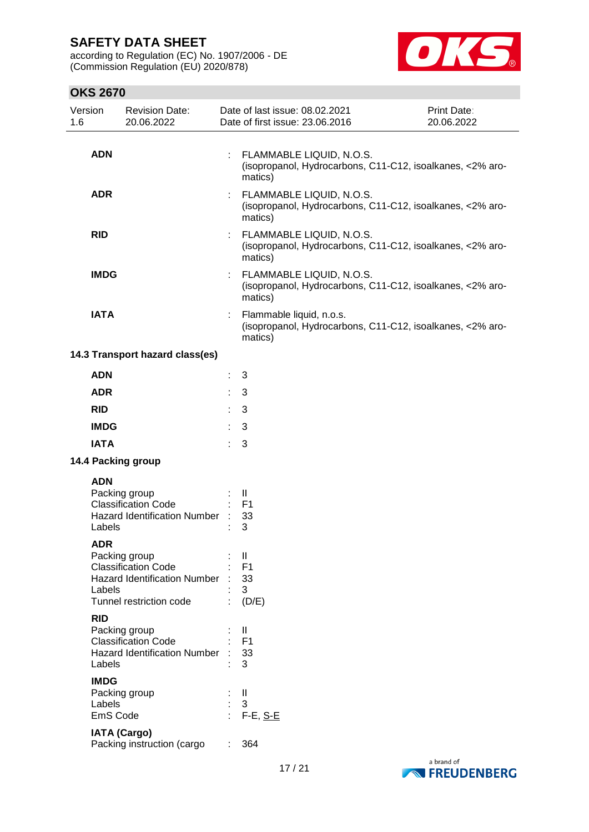according to Regulation (EC) No. 1907/2006 - DE (Commission Regulation (EU) 2020/878)



| Version<br>1.6 |                                   | <b>Revision Date:</b><br>20.06.2022                                                                           |            | Date of last issue: 08.02.2021<br>Date of first issue: 23.06.2016                                  | Print Date:<br>20.06.2022 |
|----------------|-----------------------------------|---------------------------------------------------------------------------------------------------------------|------------|----------------------------------------------------------------------------------------------------|---------------------------|
|                | <b>ADN</b>                        |                                                                                                               |            | FLAMMABLE LIQUID, N.O.S.<br>(isopropanol, Hydrocarbons, C11-C12, isoalkanes, <2% aro-<br>matics)   |                           |
|                | <b>ADR</b>                        |                                                                                                               |            | FLAMMABLE LIQUID, N.O.S.<br>(isopropanol, Hydrocarbons, C11-C12, isoalkanes, <2% aro-<br>matics)   |                           |
|                | <b>RID</b>                        |                                                                                                               |            | FLAMMABLE LIQUID, N.O.S.<br>(isopropanol, Hydrocarbons, C11-C12, isoalkanes, <2% aro-<br>matics)   |                           |
|                | <b>IMDG</b>                       |                                                                                                               |            | : FLAMMABLE LIQUID, N.O.S.<br>(isopropanol, Hydrocarbons, C11-C12, isoalkanes, <2% aro-<br>matics) |                           |
|                | <b>IATA</b>                       |                                                                                                               |            | Flammable liquid, n.o.s.<br>(isopropanol, Hydrocarbons, C11-C12, isoalkanes, <2% aro-<br>matics)   |                           |
|                |                                   | 14.3 Transport hazard class(es)                                                                               |            |                                                                                                    |                           |
|                | <b>ADN</b>                        |                                                                                                               | t          | 3                                                                                                  |                           |
|                | <b>ADR</b>                        |                                                                                                               |            | 3                                                                                                  |                           |
|                | <b>RID</b>                        |                                                                                                               |            | 3                                                                                                  |                           |
|                | <b>IMDG</b>                       |                                                                                                               |            | 3                                                                                                  |                           |
|                | <b>IATA</b>                       |                                                                                                               |            | 3                                                                                                  |                           |
|                |                                   | 14.4 Packing group                                                                                            |            |                                                                                                    |                           |
|                | <b>ADN</b><br>Labels              | Packing group<br><b>Classification Code</b><br><b>Hazard Identification Number</b>                            |            | $\mathbf{H}$<br>F <sub>1</sub><br>33<br>3                                                          |                           |
|                | <b>ADR</b><br>Labels              | Packing group<br><b>Classification Code</b><br><b>Hazard Identification Number</b><br>Tunnel restriction code |            | $\mathbf{  }$<br>F <sub>1</sub><br>33<br>3<br>(D/E)                                                |                           |
|                | <b>RID</b><br>Labels              | Packing group<br><b>Classification Code</b><br><b>Hazard Identification Number</b>                            |            | $\mathbf{H}$<br>F <sub>1</sub><br>33<br>3                                                          |                           |
|                | <b>IMDG</b><br>Labels<br>EmS Code | Packing group                                                                                                 | $\epsilon$ | $\mathbf{  }$<br>3<br>$F-E, S-E$                                                                   |                           |
|                | <b>IATA (Cargo)</b>               | Packing instruction (cargo                                                                                    |            | 364                                                                                                |                           |

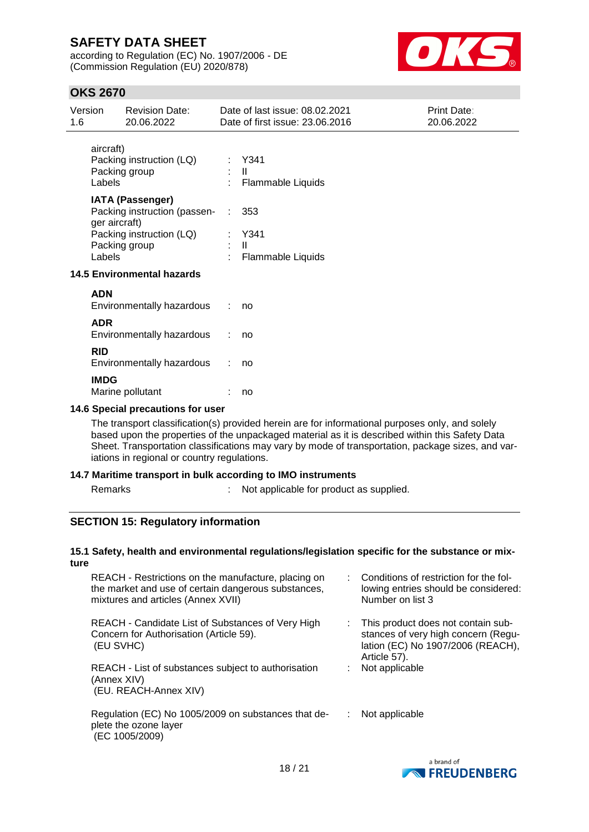according to Regulation (EC) No. 1907/2006 - DE (Commission Regulation (EU) 2020/878)



# **OKS 2670**

| Version<br>1.6            | <b>Revision Date:</b><br>20.06.2022                                                                                                       |   | Date of last issue: 08.02.2021<br>Date of first issue: 23.06.2016 | <b>Print Date:</b><br>20.06.2022 |
|---------------------------|-------------------------------------------------------------------------------------------------------------------------------------------|---|-------------------------------------------------------------------|----------------------------------|
| aircraft)<br>Labels       | Packing instruction (LQ)<br>Packing group                                                                                                 |   | : Y341<br>H.<br><b>Flammable Liquids</b>                          |                                  |
| ger aircraft)<br>Labels   | <b>IATA (Passenger)</b><br>Packing instruction (passen-<br>Packing instruction (LQ)<br>Packing group<br><b>14.5 Environmental hazards</b> |   | 353<br>Y341<br>$\mathbf{H}$<br>Flammable Liquids                  |                                  |
| <b>ADN</b><br><b>ADR</b>  | Environmentally hazardous<br>Environmentally hazardous                                                                                    | ÷ | no<br>no                                                          |                                  |
| <b>RID</b><br><b>IMDG</b> | Environmentally hazardous                                                                                                                 |   | no                                                                |                                  |

### **14.6 Special precautions for user**

Marine pollutant : no

The transport classification(s) provided herein are for informational purposes only, and solely based upon the properties of the unpackaged material as it is described within this Safety Data Sheet. Transportation classifications may vary by mode of transportation, package sizes, and variations in regional or country regulations.

#### **14.7 Maritime transport in bulk according to IMO instruments**

Remarks : Not applicable for product as supplied.

#### **SECTION 15: Regulatory information**

#### **15.1 Safety, health and environmental regulations/legislation specific for the substance or mixture**

| REACH - Restrictions on the manufacture, placing on<br>the market and use of certain dangerous substances,<br>mixtures and articles (Annex XVII) | : Conditions of restriction for the fol-<br>lowing entries should be considered:<br>Number on list 3                           |
|--------------------------------------------------------------------------------------------------------------------------------------------------|--------------------------------------------------------------------------------------------------------------------------------|
| REACH - Candidate List of Substances of Very High<br>Concern for Authorisation (Article 59).<br>(EU SVHC)                                        | This product does not contain sub-<br>stances of very high concern (Regu-<br>lation (EC) No 1907/2006 (REACH),<br>Article 57). |
| REACH - List of substances subject to authorisation<br>(Annex XIV)<br>(EU. REACH-Annex XIV)                                                      | Not applicable                                                                                                                 |
| Regulation (EC) No 1005/2009 on substances that de-<br>plete the ozone layer<br>(EC 1005/2009)                                                   | Not applicable                                                                                                                 |

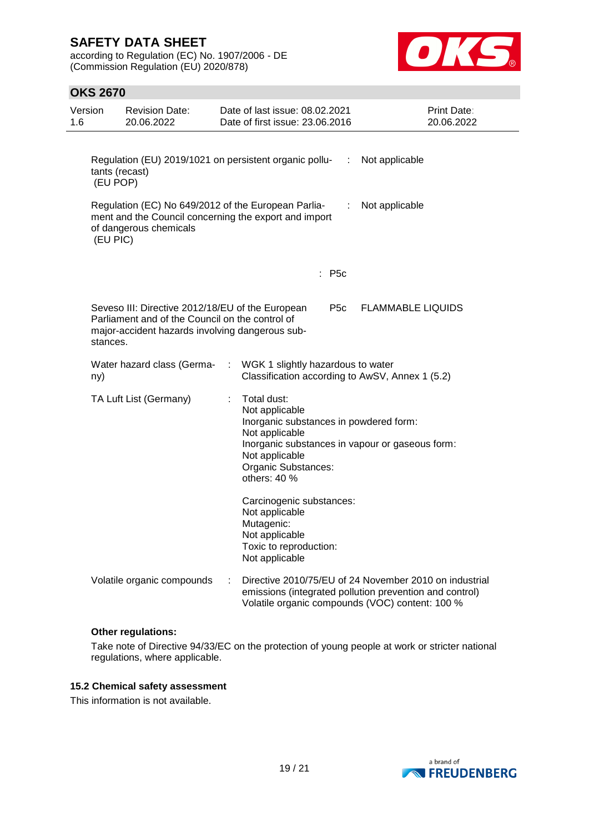according to Regulation (EC) No. 1907/2006 - DE (Commission Regulation (EU) 2020/878)



### **OKS 2670**

| Version<br>1.6                                                                                                                                                            | <b>Revision Date:</b><br>20.06.2022                                                                                                                    |   | Date of last issue: 08.02.2021<br>Date of first issue: 23.06.2016                                                                                                                                                                 | Print Date:<br>20.06.2022                                                                                                                                            |  |
|---------------------------------------------------------------------------------------------------------------------------------------------------------------------------|--------------------------------------------------------------------------------------------------------------------------------------------------------|---|-----------------------------------------------------------------------------------------------------------------------------------------------------------------------------------------------------------------------------------|----------------------------------------------------------------------------------------------------------------------------------------------------------------------|--|
| Regulation (EU) 2019/1021 on persistent organic pollu-<br>:<br>Not applicable<br>tants (recast)<br>(EU POP)                                                               |                                                                                                                                                        |   |                                                                                                                                                                                                                                   |                                                                                                                                                                      |  |
| Regulation (EC) No 649/2012 of the European Parlia-<br>Not applicable<br>÷<br>ment and the Council concerning the export and import<br>of dangerous chemicals<br>(EU PIC) |                                                                                                                                                        |   |                                                                                                                                                                                                                                   |                                                                                                                                                                      |  |
|                                                                                                                                                                           |                                                                                                                                                        |   | : P5c                                                                                                                                                                                                                             |                                                                                                                                                                      |  |
| stances.                                                                                                                                                                  | Seveso III: Directive 2012/18/EU of the European<br>Parliament and of the Council on the control of<br>major-accident hazards involving dangerous sub- |   | P <sub>5</sub> c                                                                                                                                                                                                                  | <b>FLAMMABLE LIQUIDS</b>                                                                                                                                             |  |
| ny)                                                                                                                                                                       | Water hazard class (Germa-                                                                                                                             |   | WGK 1 slightly hazardous to water<br>Classification according to AwSV, Annex 1 (5.2)                                                                                                                                              |                                                                                                                                                                      |  |
|                                                                                                                                                                           | TA Luft List (Germany)                                                                                                                                 | ÷ | Total dust:<br>Not applicable<br>Inorganic substances in powdered form:<br>Not applicable<br>Inorganic substances in vapour or gaseous form:<br>Not applicable<br>Organic Substances:<br>others: 40 %<br>Carcinogenic substances: |                                                                                                                                                                      |  |
|                                                                                                                                                                           |                                                                                                                                                        |   | Not applicable<br>Mutagenic:<br>Not applicable<br>Toxic to reproduction:<br>Not applicable                                                                                                                                        |                                                                                                                                                                      |  |
|                                                                                                                                                                           | Volatile organic compounds                                                                                                                             |   |                                                                                                                                                                                                                                   | Directive 2010/75/EU of 24 November 2010 on industrial<br>emissions (integrated pollution prevention and control)<br>Volatile organic compounds (VOC) content: 100 % |  |

#### **Other regulations:**

Take note of Directive 94/33/EC on the protection of young people at work or stricter national regulations, where applicable.

### **15.2 Chemical safety assessment**

This information is not available.

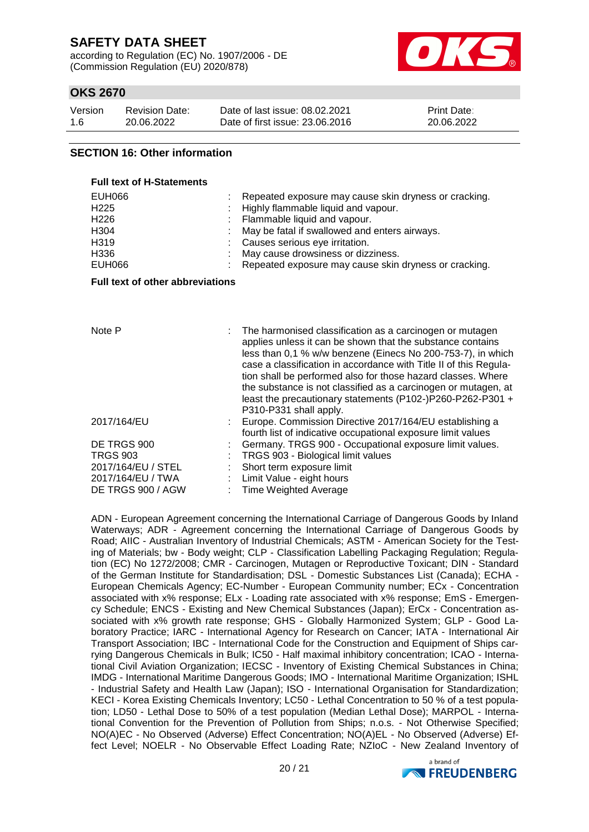according to Regulation (EC) No. 1907/2006 - DE (Commission Regulation (EU) 2020/878)



# **OKS 2670**

| Version | <b>Revision Date:</b> | Date of last issue: 08.02.2021  | <b>Print Date:</b> |
|---------|-----------------------|---------------------------------|--------------------|
| 1.6     | 20.06.2022            | Date of first issue: 23,06,2016 | 20.06.2022         |

#### **SECTION 16: Other information**

| <b>Full text of H-Statements</b>                                                        |                                                                                                                                                                                                                                                                                                                                                                                                                          |
|-----------------------------------------------------------------------------------------|--------------------------------------------------------------------------------------------------------------------------------------------------------------------------------------------------------------------------------------------------------------------------------------------------------------------------------------------------------------------------------------------------------------------------|
| <b>EUH066</b><br>H <sub>225</sub><br>H <sub>226</sub><br>H304<br>H319<br>H336<br>EUH066 | Repeated exposure may cause skin dryness or cracking.<br>Highly flammable liquid and vapour.<br>Flammable liquid and vapour.<br>May be fatal if swallowed and enters airways.<br>Causes serious eye irritation.<br>May cause drowsiness or dizziness.<br>Repeated exposure may cause skin dryness or cracking.                                                                                                           |
| <b>Full text of other abbreviations</b>                                                 |                                                                                                                                                                                                                                                                                                                                                                                                                          |
| Note P                                                                                  | The harmonised classification as a carcinogen or mutagen                                                                                                                                                                                                                                                                                                                                                                 |
|                                                                                         | applies unless it can be shown that the substance contains<br>less than 0,1 % w/w benzene (Einecs No 200-753-7), in which<br>case a classification in accordance with Title II of this Regula-<br>tion shall be performed also for those hazard classes. Where<br>the substance is not classified as a carcinogen or mutagen, at<br>least the precautionary statements (P102-)P260-P262-P301 +<br>P310-P331 shall apply. |
| 2017/164/EU                                                                             | Europe. Commission Directive 2017/164/EU establishing a<br>fourth list of indicative occupational exposure limit values                                                                                                                                                                                                                                                                                                  |
| DE TRGS 900                                                                             | Germany. TRGS 900 - Occupational exposure limit values.                                                                                                                                                                                                                                                                                                                                                                  |
| <b>TRGS 903</b>                                                                         | TRGS 903 - Biological limit values                                                                                                                                                                                                                                                                                                                                                                                       |
| 2017/164/EU / STEL                                                                      | Short term exposure limit                                                                                                                                                                                                                                                                                                                                                                                                |
| 2017/164/EU / TWA                                                                       | Limit Value - eight hours                                                                                                                                                                                                                                                                                                                                                                                                |
| DE TRGS 900 / AGW                                                                       | <b>Time Weighted Average</b>                                                                                                                                                                                                                                                                                                                                                                                             |

ADN - European Agreement concerning the International Carriage of Dangerous Goods by Inland Waterways; ADR - Agreement concerning the International Carriage of Dangerous Goods by Road; AIIC - Australian Inventory of Industrial Chemicals; ASTM - American Society for the Testing of Materials; bw - Body weight; CLP - Classification Labelling Packaging Regulation; Regulation (EC) No 1272/2008; CMR - Carcinogen, Mutagen or Reproductive Toxicant; DIN - Standard of the German Institute for Standardisation; DSL - Domestic Substances List (Canada); ECHA - European Chemicals Agency; EC-Number - European Community number; ECx - Concentration associated with x% response; ELx - Loading rate associated with x% response; EmS - Emergency Schedule; ENCS - Existing and New Chemical Substances (Japan); ErCx - Concentration associated with x% growth rate response; GHS - Globally Harmonized System; GLP - Good Laboratory Practice; IARC - International Agency for Research on Cancer; IATA - International Air Transport Association; IBC - International Code for the Construction and Equipment of Ships carrying Dangerous Chemicals in Bulk; IC50 - Half maximal inhibitory concentration; ICAO - International Civil Aviation Organization; IECSC - Inventory of Existing Chemical Substances in China; IMDG - International Maritime Dangerous Goods; IMO - International Maritime Organization; ISHL - Industrial Safety and Health Law (Japan); ISO - International Organisation for Standardization; KECI - Korea Existing Chemicals Inventory; LC50 - Lethal Concentration to 50 % of a test population; LD50 - Lethal Dose to 50% of a test population (Median Lethal Dose); MARPOL - International Convention for the Prevention of Pollution from Ships; n.o.s. - Not Otherwise Specified; NO(A)EC - No Observed (Adverse) Effect Concentration; NO(A)EL - No Observed (Adverse) Effect Level; NOELR - No Observable Effect Loading Rate; NZIoC - New Zealand Inventory of